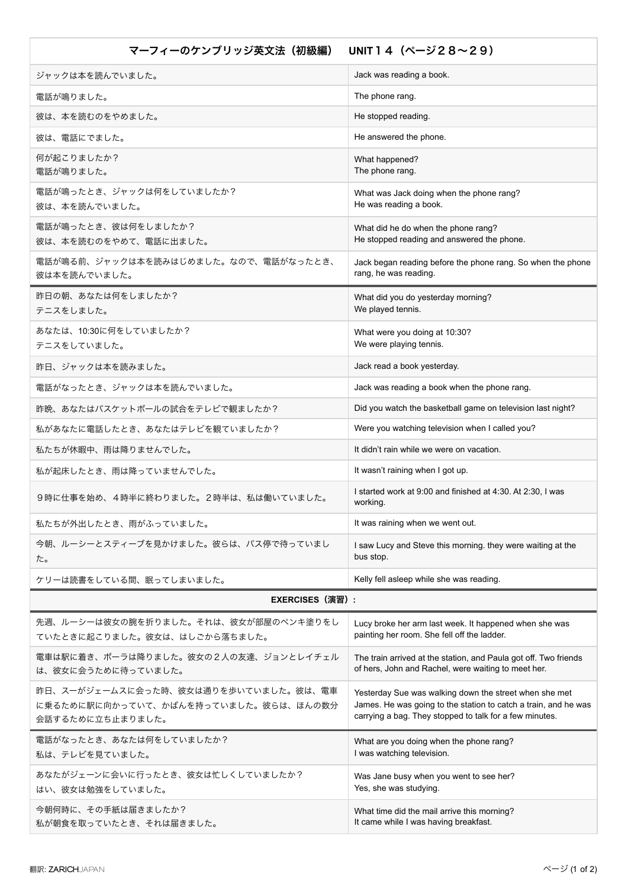## マーフィーのケンブリッジ英文法 (初級編) UNIT14 (ページ28~29)

| 人人心 いっぷ ほ                                                                                               |                                                                                                                                                                                      |
|---------------------------------------------------------------------------------------------------------|--------------------------------------------------------------------------------------------------------------------------------------------------------------------------------------|
| ジャックは本を読んでいました。                                                                                         | Jack was reading a book.                                                                                                                                                             |
| 電話が鳴りました。                                                                                               | The phone rang.                                                                                                                                                                      |
| 彼は、本を読むのをやめました。                                                                                         | He stopped reading.                                                                                                                                                                  |
| 彼は、電話にでました。                                                                                             | He answered the phone.                                                                                                                                                               |
| 何が起こりましたか?<br>電話が鳴りました。                                                                                 | What happened?<br>The phone rang.                                                                                                                                                    |
| 電話が鳴ったとき、ジャックは何をしていましたか?<br>彼は、本を読んでいました。                                                               | What was Jack doing when the phone rang?<br>He was reading a book.                                                                                                                   |
| 電話が鳴ったとき、彼は何をしましたか?<br>彼は、本を読むのをやめて、電話に出ました。                                                            | What did he do when the phone rang?<br>He stopped reading and answered the phone.                                                                                                    |
| 電話が鳴る前、ジャックは本を読みはじめました。なので、電話がなったとき、<br>彼は本を読んでいました。                                                    | Jack began reading before the phone rang. So when the phone<br>rang, he was reading.                                                                                                 |
| 昨日の朝、あなたは何をしましたか?<br>テニスをしました。                                                                          | What did you do yesterday morning?<br>We played tennis.                                                                                                                              |
| あなたは、10:30に何をしていましたか?<br>テニスをしていました。                                                                    | What were you doing at 10:30?<br>We were playing tennis.                                                                                                                             |
| 昨日、ジャックは本を読みました。                                                                                        | Jack read a book yesterday.                                                                                                                                                          |
| 電話がなったとき、ジャックは本を読んでいました。                                                                                | Jack was reading a book when the phone rang.                                                                                                                                         |
| 昨晩、あなたはバスケットボールの試合をテレビで観ましたか?                                                                           | Did you watch the basketball game on television last night?                                                                                                                          |
| 私があなたに電話したとき、あなたはテレビを観ていましたか?                                                                           | Were you watching television when I called you?                                                                                                                                      |
| 私たちが休暇中、雨は降りませんでした。                                                                                     | It didn't rain while we were on vacation.                                                                                                                                            |
| 私が起床したとき、雨は降っていませんでした。                                                                                  | It wasn't raining when I got up.                                                                                                                                                     |
| 9時に仕事を始め、4時半に終わりました。2時半は、私は働いていました。                                                                     | I started work at 9:00 and finished at 4:30. At 2:30, I was<br>working.                                                                                                              |
| 私たちが外出したとき、雨がふっていました。                                                                                   | It was raining when we went out.                                                                                                                                                     |
| 今朝、ルーシーとスティーブを見かけました。彼らは、バス停で待っていまし<br>た。                                                               | I saw Lucy and Steve this morning, they were waiting at the<br>bus stop.                                                                                                             |
| ケリーは読書をしている間、眠ってしまいました。                                                                                 | Kelly fell asleep while she was reading.                                                                                                                                             |
| <b>EXERCISES (演習):</b>                                                                                  |                                                                                                                                                                                      |
| 先週、ルーシーは彼女の腕を折りました。それは、彼女が部屋のペンキ塗りをし<br>ていたときに起こりました。彼女は、はしごから落ちました。                                    | Lucy broke her arm last week. It happened when she was<br>painting her room. She fell off the ladder.                                                                                |
| 電車は駅に着き、ポーラは降りました。彼女の2人の友達、ジョンとレイチェル<br>は、彼女に会うために待っていました。                                              | The train arrived at the station, and Paula got off. Two friends<br>of hers, John and Rachel, were waiting to meet her.                                                              |
| <u>昨日、スーがジェームスに会った時、彼女は通りを歩いていました。彼は、電車</u><br>に乗るために駅に向かっていて、かばんを持っていました。彼らは、ほんの数分<br>会話するために立ち止まりました。 | Yesterday Sue was walking down the street when she met<br>James. He was going to the station to catch a train, and he was<br>carrying a bag. They stopped to talk for a few minutes. |
| 電話がなったとき、あなたは何をしていましたか?<br>私は、テレビを見ていました。                                                               | What are you doing when the phone rang?<br>I was watching television.                                                                                                                |
| あなたがジェーンに会いに行ったとき、彼女は忙しくしていましたか?<br>はい、彼女は勉強をしていました。                                                    | Was Jane busy when you went to see her?<br>Yes, she was studying.                                                                                                                    |
| 今朝何時に、その手紙は届きましたか?<br>私が朝食を取っていたとき、それは届きました。                                                            | What time did the mail arrive this morning?<br>It came while I was having breakfast.                                                                                                 |
|                                                                                                         |                                                                                                                                                                                      |